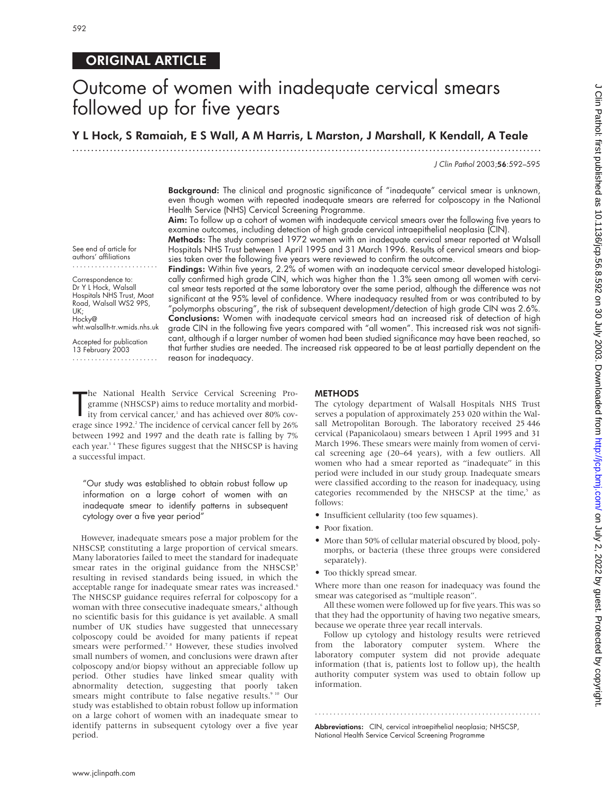# ORIGINAL ARTICLE

# Outcome of women with inadequate cervical smears followed up for five years

Y L Hock, S Ramaiah, E S Wall, A M Harris, L Marston, J Marshall, K Kendall, A Teale

.............................................................................................................................

J Clin Pathol 2003;56:592–595

Background: The clinical and prognostic significance of "inadequate" cervical smear is unknown, even though women with repeated inadequate smears are referred for colposcopy in the National Health Service (NHS) Cervical Screening Programme.

Aim: To follow up a cohort of women with inadequate cervical smears over the following five years to examine outcomes, including detection of high grade cervical intraepithelial neoplasia (CIN).

Methods: The study comprised 1972 women with an inadequate cervical smear reported at Walsall Hospitals NHS Trust between 1 April 1995 and 31 March 1996. Results of cervical smears and biopsies taken over the following five years were reviewed to confirm the outcome.

Findings: Within five years, 2.2% of women with an inadequate cervical smear developed histologically confirmed high grade CIN, which was higher than the 1.3% seen among all women with cervical smear tests reported at the same laboratory over the same period, although the difference was not significant at the 95% level of confidence. Where inadequacy resulted from or was contributed to by "polymorphs obscuring", the risk of subsequent development/detection of high grade CIN was 2.6%. Conclusions: Women with inadequate cervical smears had an increased risk of detection of high grade CIN in the following five years compared with "all women". This increased risk was not significant, although if a larger number of women had been studied significance may have been reached, so that further studies are needed. The increased risk appeared to be at least partially dependent on the reason for inadequacy.

See end of article for authors' affiliations .......................

Correspondence to: Dr Y L Hock, Walsall Hospitals NHS Trust, Moat Road, Walsall WS2 9PS, UK; Hocky@ wht.walsallh-tr.wmids.nhs.uk

Accepted for publication 13 February 2003 .......................

The National Health Service Cervical Screening Programme (NHSCSP) aims to reduce mortality and morbid-<br>ity from cervical cancer,<sup>1</sup> and has achieved over 80% cov-<br>erage since 1992.<sup>2</sup> The incidence of cervical cancer fell he National Health Service Cervical Screening Programme (NHSCSP) aims to reduce mortality and morbidity from cervical cancer,<sup>1</sup> and has achieved over 80% covbetween 1992 and 1997 and the death rate is falling by 7% each year.<sup>34</sup> These figures suggest that the NHSCSP is having a successful impact.

"Our study was established to obtain robust follow up information on a large cohort of women with an inadequate smear to identify patterns in subsequent cytology over a five year period"

However, inadequate smears pose a major problem for the NHSCSP, constituting a large proportion of cervical smears. Many laboratories failed to meet the standard for inadequate smear rates in the original guidance from the NHSCSP,<sup>5</sup> resulting in revised standards being issued, in which the acceptable range for inadequate smear rates was increased.<sup>6</sup> The NHSCSP guidance requires referral for colposcopy for a woman with three consecutive inadequate smears,<sup>6</sup> although no scientific basis for this guidance is yet available. A small number of UK studies have suggested that unnecessary colposcopy could be avoided for many patients if repeat smears were performed.<sup>78</sup> However, these studies involved small numbers of women, and conclusions were drawn after colposcopy and/or biopsy without an appreciable follow up period. Other studies have linked smear quality with abnormality detection, suggesting that poorly taken smears might contribute to false negative results.<sup>9 10</sup> Our study was established to obtain robust follow up information on a large cohort of women with an inadequate smear to identify patterns in subsequent cytology over a five year period.

## **METHODS**

The cytology department of Walsall Hospitals NHS Trust serves a population of approximately 253 020 within the Walsall Metropolitan Borough. The laboratory received 25 446 cervical (Papanicolaou) smears between 1 April 1995 and 31 March 1996. These smears were mainly from women of cervical screening age (20–64 years), with a few outliers. All women who had a smear reported as "inadequate" in this period were included in our study group. Inadequate smears were classified according to the reason for inadequacy, using categories recommended by the NHSCSP at the time,<sup>5</sup> as follows:

- Insufficient cellularity (too few squames).
- Poor fixation.
- More than 50% of cellular material obscured by blood, polymorphs, or bacteria (these three groups were considered separately).
- Too thickly spread smear.

Where more than one reason for inadequacy was found the smear was categorised as "multiple reason".

All these women were followed up for five years. This was so that they had the opportunity of having two negative smears, because we operate three year recall intervals.

Follow up cytology and histology results were retrieved from the laboratory computer system. Where the laboratory computer system did not provide adequate information (that is, patients lost to follow up), the health authority computer system was used to obtain follow up information.

.............................................................

Abbreviations: CIN, cervical intraepithelial neoplasia; NHSCSP, National Health Service Cervical Screening Programme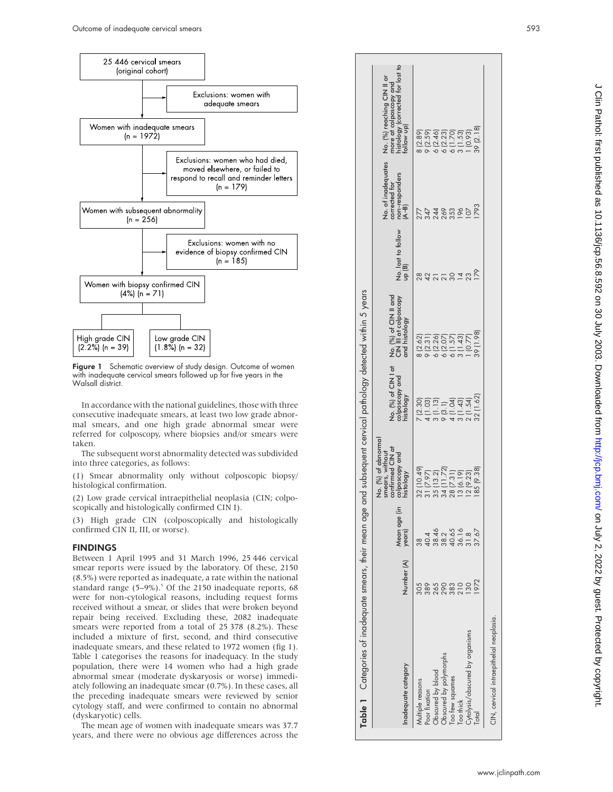

Figure 1 Schematic overview of study design. Outcome of women with inadequate cervical smears followed up for five years in the Walsall district.

In accordance with the national guidelines, those with three consecutive inadequate smears, at least two low grade abnormal smears, and one high grade abnormal smear were referred for colposcopy, where biopsies and/or smears were taken.

The subsequent worst abnormality detected was subdivided into three categories, as follows:

(1) Smear abnormality only without colposcopic biopsy/ histological confirmation.

(2) Low grade cervical intraepithelial neoplasia (CIN; colposcopically and histologically confirmed CIN I).

(3) High grade CIN (colposcopically and histologically confirmed CIN II, III, or worse).

#### FINDINGS

Between 1 April 1995 and 31 March 1996, 25 446 cervical smear reports were issued by the laboratory. Of these, 2150 (8.5%) were reported as inadequate, a rate within the national standard range (5–9%). <sup>5</sup> Of the 2150 inadequate reports, 68 were for non-cytological reasons, including request forms received without a smear, or slides that were broken beyond repair being received. Excluding these, 2082 inadequate smears were reported from a total of 25 378 (8.2%). These included a mixture of first, second, and third consecutive inadequate smears, and these related to 1972 women (fig 1). Table 1 categorises the reasons for inadequacy. In the study population, there were 14 women who had a high grade abnormal smear (moderate dyskaryosis or worse) immediately following an inadequate smear (0.7%). In these cases, all the preceding inadequate smears were reviewed by senior cytology staff, and were confirmed to contain no abnormal (dyskaryotic) cells.

The mean age of women with inadequate smears was 37.7 years, and there were no obvious age differences across the

| Table 1 Categories of inadequate smears, their mean age and subsequent cervical pathology detected within 5 years |                |                                                                      |                                                                                           |                                                    |                                                                 |                              |                                                                  |                                                                                                        |
|-------------------------------------------------------------------------------------------------------------------|----------------|----------------------------------------------------------------------|-------------------------------------------------------------------------------------------|----------------------------------------------------|-----------------------------------------------------------------|------------------------------|------------------------------------------------------------------|--------------------------------------------------------------------------------------------------------|
| Inadequate category                                                                                               | Number (A)     | Mean age (in<br>years)                                               | No. (%) of abnormal<br>confirmed CIN at<br>smears, without<br>colposcopy and<br>histology | No. (%) of CIN I at<br>colposcopy and<br>histology | No. (%) of CIN II and<br>CIN III at colposcopy<br>and histology | No. lost to follow<br>up (B) | No. of inadequates<br>non-responders<br>corrected for<br>$(A-B)$ | more at colposcopy and<br>histology (corrected for lost to<br>follow up)<br>No. (%) reaching CIN II or |
| Aultiple reasons                                                                                                  | 305            | တ<br>က                                                               | 32 (10.49)                                                                                | (2.30)                                             | (2.62)                                                          | $\frac{8}{2}$                | 277                                                              | (2.89)                                                                                                 |
| Poor fixation                                                                                                     |                |                                                                      | 31 (7.97)                                                                                 |                                                    |                                                                 |                              |                                                                  |                                                                                                        |
| Obscured by blood                                                                                                 | 8500300        | $43.46$<br>$9.845$<br>$9.56$<br>$9.56$<br>$9.56$<br>$9.57$<br>$9.57$ | 35 (13.2)                                                                                 | $\begin{array}{c} 4 (1.03) \\ 1.13 \end{array}$    | 9 (2.31)<br>6 (2.26)<br>6 (2.07)                                |                              | 344<br>244<br>269                                                | 9<br>200200<br>200200<br>200200                                                                        |
| Obscured by polymorphs                                                                                            |                |                                                                      | 11.72<br>34 (1                                                                            | 9(3.1)                                             |                                                                 |                              |                                                                  |                                                                                                        |
| Too few squames                                                                                                   |                |                                                                      | 28 (7.31)                                                                                 | (1.04)                                             | 6(1.57)                                                         |                              | 353                                                              |                                                                                                        |
| Too thick                                                                                                         |                |                                                                      | 13 (6.19)                                                                                 | (1.43)                                             | 3(1.43)                                                         | $\overline{4}$               | 196                                                              |                                                                                                        |
| Cytolysis/obscured by organisms                                                                                   | $\frac{30}{2}$ |                                                                      | 12 (9.23)                                                                                 | 2(1.54)                                            | (0.77)                                                          |                              |                                                                  | (0.93)                                                                                                 |
|                                                                                                                   | 1972           |                                                                      | 185 (9.38)                                                                                | 32 (1.62)                                          | 86 1 68                                                         |                              | 793                                                              | 39 (2.18)                                                                                              |
| CIN, cervical intraepithelial neoplasia.                                                                          |                |                                                                      |                                                                                           |                                                    |                                                                 |                              |                                                                  |                                                                                                        |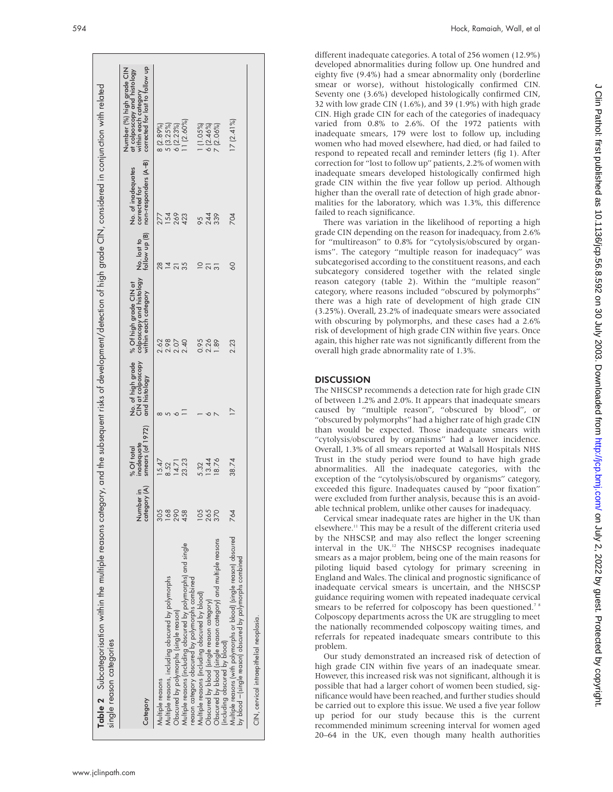| Table 2 Subcategorisation within the multiple reasons category, and the subsequent risks of development/detection of high grade CIN, considered in conjunction with related<br>single reason categories |                                     |                                                    |                                                         |                                                                            |                              |                                                             |                                                                                                                     |
|---------------------------------------------------------------------------------------------------------------------------------------------------------------------------------------------------------|-------------------------------------|----------------------------------------------------|---------------------------------------------------------|----------------------------------------------------------------------------|------------------------------|-------------------------------------------------------------|---------------------------------------------------------------------------------------------------------------------|
| Category                                                                                                                                                                                                | $\frac{1}{2}$<br>Number<br>category | smears $($ of 1972 $)$<br>inadequate<br>% Of total | No. of high grade<br>CIN at colposcopy<br>and histology | colposcopy and histology<br>within each category<br>% Of high grade CIN at | No. lost to<br>follow up (B) | non-responders (A-B)<br>No. of inadequates<br>corrected for | corrected for lost to follow up<br>Number (%) high grade CIN<br>at colposcopy and histology<br>within each category |
| Multiple reasons                                                                                                                                                                                        | 305                                 | 15.47                                              | $\infty$                                                | 2.62                                                                       | 28                           | 277                                                         | 8 (2.89%)                                                                                                           |
| Multiple reasons, including obscured by polymorphs                                                                                                                                                      | 168                                 | 8.52                                               | 5                                                       | 2.98                                                                       | $\overline{4}$               | 154                                                         | 5(3.25%)                                                                                                            |
| Obscured by polymorphs (single reason)                                                                                                                                                                  | 290                                 |                                                    | $\sim$                                                  | 2.07                                                                       | $\frac{1}{3}$                | 269                                                         | 6(2.23%)                                                                                                            |
| Multiple reasons (including obscured by polymorphs) and single                                                                                                                                          | 458                                 | 14.71<br>23.23                                     |                                                         | 2.40                                                                       |                              | 423                                                         | 1 (2.60%)                                                                                                           |
| eason category obscured by polymorphs combined                                                                                                                                                          |                                     |                                                    |                                                         |                                                                            |                              |                                                             |                                                                                                                     |
| Multiple reasons (including obscured by blood)                                                                                                                                                          | 8G                                  | 5.32                                               |                                                         | 0.95                                                                       | $\overline{C}$               | 95                                                          | $(1.05\%)$                                                                                                          |
| Obscured by blood (single reason category)                                                                                                                                                              | 265                                 | 13.44                                              | O                                                       | 2.26                                                                       |                              | 244                                                         | $6(2.46\%)$                                                                                                         |
| Obscured by blood (single reason category) and multiple reasons<br>including obscured by blood)                                                                                                         | 370                                 | 18.76                                              |                                                         | 1.89                                                                       | $\frac{1}{2}$                |                                                             | $7(2.06\%)$                                                                                                         |
| Multiple reasons (with polymorphs or blood) (single reason) obscured<br>by blood – (single reason) obscured by polymorphs combined                                                                      | 764                                 | 38.74                                              |                                                         | 2.23                                                                       | $\overline{60}$              | 704                                                         | 17(2.41%)                                                                                                           |
| CIN, cervical intraepithelial neoplasia.                                                                                                                                                                |                                     |                                                    |                                                         |                                                                            |                              |                                                             |                                                                                                                     |

594 Hock, Ramaiah, Wall, et al

different inadequate categories. A total of 256 women (12.9%) developed abnormalities during follow up. One hundred and eighty five (9.4%) had a smear abnormality only (borderline smear or worse), without histologically confirmed CIN. Seventy one (3.6%) developed histologically confirmed CIN, 32 with low grade CIN (1.6%), and 39 (1.9%) with high grade CIN. High grade CIN for each of the categories of inadequacy varied from 0.8% to 2.6%. Of the 1972 patients with inadequate smears, 179 were lost to follow up, including women who had moved elsewhere, had died, or had failed to respond to repeated recall and reminder letters (fig 1). After correction for "lost to follow up" patients, 2.2% of women with inadequate smears developed histologically confirmed high grade CIN within the five year follow up period. Although higher than the overall rate of detection of high grade abnormalities for the laboratory, which was 1.3%, this difference failed to reach significance.

There was variation in the likelihood of reporting a high grade CIN depending on the reason for inadequacy, from 2.6% for "multireason" to 0.8% for "cytolysis/obscured by organisms". The category "multiple reason for inadequacy" was subcategorised according to the constituent reasons, and each subcategory considered together with the related single reason category (table 2). Within the "multiple reason" category, where reasons included "obscured by polymorphs" there was a high rate of development of high grade CIN (3.25%). Overall, 23.2% of inadequate smears were associated with obscuring by polymorphs, and these cases had a 2.6% risk of development of high grade CIN within five years. Once again, this higher rate was not significantly different from the overall high grade abnormality rate of 1.3%.

# DISCUSSION

The NHSCSP recommends a detection rate for high grade CIN of between 1.2% and 2.0%. It appears that inadequate smears caused by "multiple reason", "obscured by blood", or "obscured by polymorphs" had a higher rate of high grade CIN than would be expected. Those inadequate smears with "cytolysis/obscured by organisms" had a lower incidence. Overall, 1.3% of all smears reported at Walsall Hospitals NHS Trust in the study period were found to have high grade abnormalities. All the inadequate categories, with the exception of the "cytolysis/obscured by organisms" category, exceeded this figure. Inadequates caused by "poor fixation" were excluded from further analysis, because this is an avoidable technical problem, unlike other causes for inadequacy.

Cervical smear inadequate rates are higher in the UK than elsewhere.<sup>11</sup> This may be a result of the different criteria used by the NHSCSP, and may also reflect the longer screening interval in the UK.12 The NHSCSP recognises inadequate smears as a major problem, being one of the main reasons for piloting liquid based cytology for primary screening in England and Wales. The clinical and prognostic significance of inadequate cervical smears is uncertain, and the NHSCSP guidance requiring women with repeated inadequate cervical smears to be referred for colposcopy has been questioned.<sup>78</sup> Colposcopy departments across the UK are struggling to meet the nationally recommended colposcopy waiting times, and referrals for repeated inadequate smears contribute to this problem.

Our study demonstrated an increased risk of detection of high grade CIN within five years of an inadequate smear. However, this increased risk was not significant, although it is possible that had a larger cohort of women been studied, significance would have been reached, and further studies should be carried out to explore this issue. We used a five year follow up period for our study because this is the current recommended minimum screening interval for women aged 20–64 in the UK, even though many health authorities